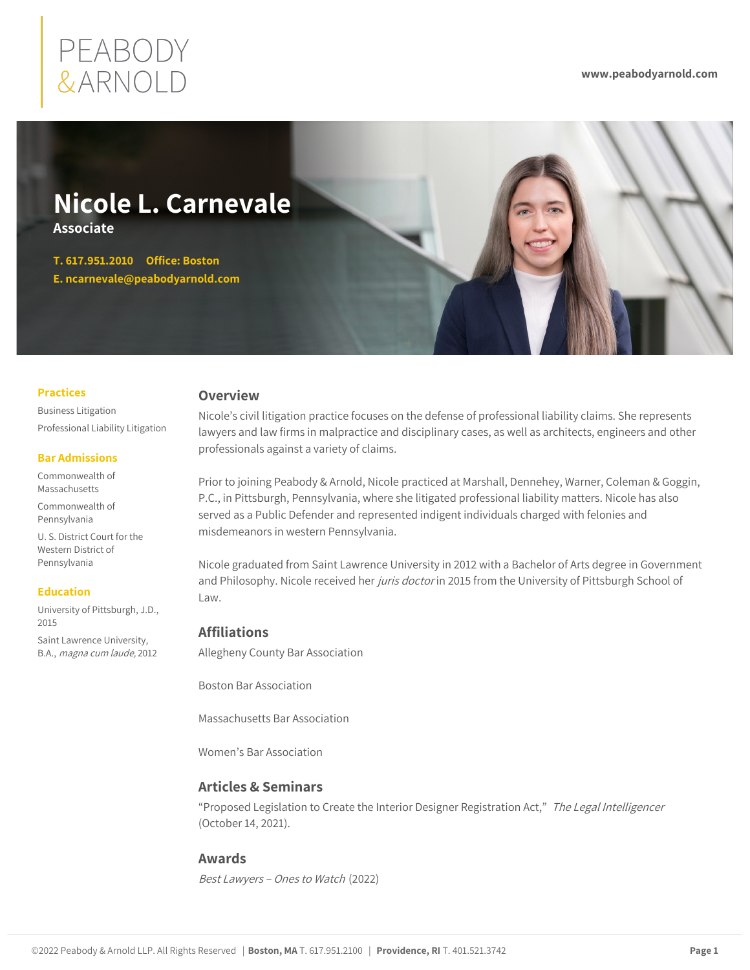

# **Nicole L. Carnevale Associate T. [617.951.2010](tel:617.951.2010) Office: [Boston](https://www.peabodyarnold.com/office-location/boston/) E. [ncarnevale@peabodyarnold.com](mailto:ncarnevale@peabodyarnold.com)**

# **Practices**

Business Litigation Professional Liability Litigation

# **Bar Admissions**

Commonwealth of Massachusetts

Commonwealth of Pennsylvania

U. S. District Court for the Western District of Pennsylvania

# **Education**

University of Pittsburgh, J.D., 2015

Saint Lawrence University, B.A., magna cum laude, 2012

# **Overview**

Nicole's civil litigation practice focuses on the defense of professional liability claims. She represents lawyers and law firms in malpractice and disciplinary cases, as well as architects, engineers and other professionals against a variety of claims.

Prior to joining Peabody & Arnold, Nicole practiced at Marshall, Dennehey, Warner, Coleman & Goggin, P.C., in Pittsburgh, Pennsylvania, where she litigated professional liability matters. Nicole has also served as a Public Defender and represented indigent individuals charged with felonies and misdemeanors in western Pennsylvania.

Nicole graduated from Saint Lawrence University in 2012 with a Bachelor of Arts degree in Government and Philosophy. Nicole received her juris doctor in 2015 from the University of Pittsburgh School of Law.

# **Affiliations**

Allegheny County Bar Association

Boston Bar Association

Massachusetts Bar Association

Women's Bar Association

# **Articles & Seminars**

"Proposed Legislation to Create the Interior Designer Registration Act," The Legal Intelligencer (October 14, 2021).

# **Awards**

Best Lawyers – Ones to Watch (2022)